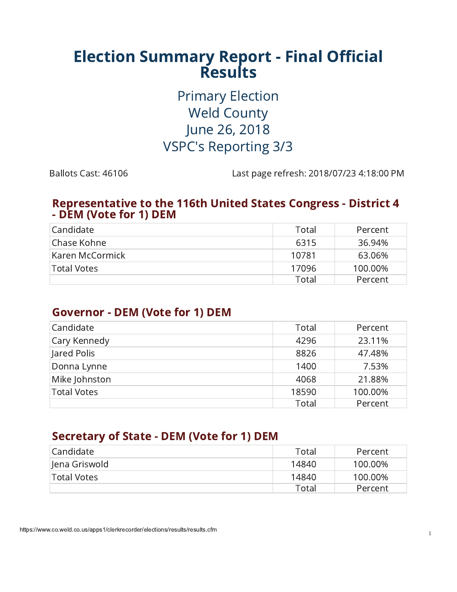# **Election Summary Report - Final Official<br>Results**

**Primary Election Weld County** June 26, 2018 **VSPC's Reporting 3/3** 

Ballots Cast: 46106

Last page refresh: 2018/07/23 4:18:00 PM

#### **Representative to the 116th United States Congress - District 4** - DEM (Vote for 1) DEM

| Candidate          | Total | Percent |
|--------------------|-------|---------|
| Chase Kohne        | 6315  | 36.94%  |
| Karen McCormick    | 10781 | 63.06%  |
| <b>Total Votes</b> | 17096 | 100.00% |
|                    | Total | Percent |

# **Governor - DEM (Vote for 1) DEM**

| Candidate          | Total | Percent |
|--------------------|-------|---------|
| Cary Kennedy       | 4296  | 23.11%  |
| Jared Polis        | 8826  | 47.48%  |
| Donna Lynne        | 1400  | 7.53%   |
| Mike Johnston      | 4068  | 21.88%  |
| <b>Total Votes</b> | 18590 | 100.00% |
|                    | Total | Percent |

# **Secretary of State - DEM (Vote for 1) DEM**

| l Candidate   | Total | Percent |
|---------------|-------|---------|
| Jena Griswold | 14840 | 100.00% |
| Total Votes   | 14840 | 100.00% |
|               | Total | Percent |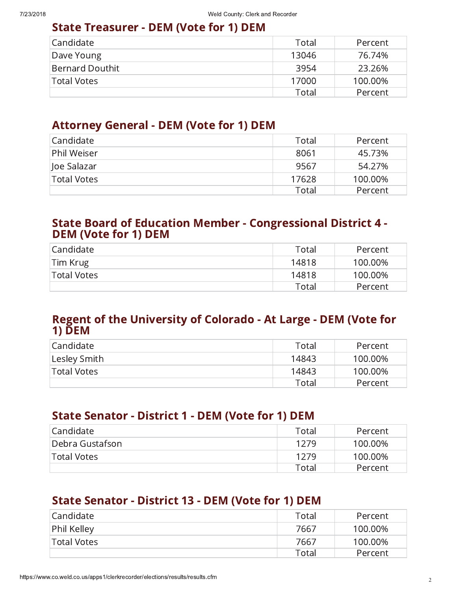# **State Treasurer - DEM (Vote for 1) DEM**

| Candidate              | Total | Percent |
|------------------------|-------|---------|
| Dave Young             | 13046 | 76.74%  |
| <b>Bernard Douthit</b> | 3954  | 23.26%  |
| <b>Total Votes</b>     | 17000 | 100.00% |
|                        | Total | Percent |

## **Attorney General - DEM (Vote for 1) DEM**

| Candidate          | Total | Percent |
|--------------------|-------|---------|
| Phil Weiser        | 8061  | 45.73%  |
| Joe Salazar        | 9567  | 54.27%  |
| <b>Total Votes</b> | 17628 | 100.00% |
|                    | Total | Percent |

#### **State Board of Education Member - Congressional District 4 -DEM (Vote for 1) DEM**

| Candidate   | Total | Percent |
|-------------|-------|---------|
| Tim Krug    | 14818 | 100.00% |
| Total Votes | 14818 | 100.00% |
|             | Total | Percent |

#### Regent of the University of Colorado - At Large - DEM (Vote for  $1)$  DEM

| Candidate      | Total | Percent |
|----------------|-------|---------|
| ' Lesley Smith | 14843 | 100.00% |
| Total Votes    | 14843 | 100.00% |
|                | Total | Percent |

# **State Senator - District 1 - DEM (Vote for 1) DEM**

| l Candidate     | Total | Percent |
|-----------------|-------|---------|
| Debra Gustafson | 1279  | 100.00% |
| Total Votes     | 1279  | 100.00% |
|                 | Total | Percent |

# **State Senator - District 13 - DEM (Vote for 1) DEM**

| l Candidate        | Total | Percent |
|--------------------|-------|---------|
| Phil Kelley        | 7667  | 100.00% |
| <b>Total Votes</b> | 7667  | 100.00% |
|                    | Total | Percent |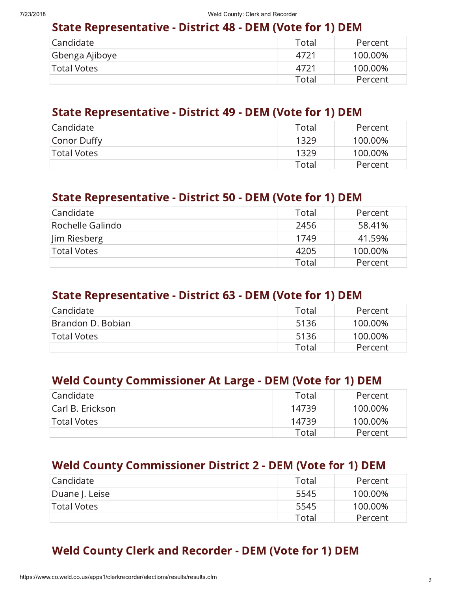#### **State Representative - District 48 - DEM (Vote for 1) DEM**

| Candidate_     | Total | Percent |
|----------------|-------|---------|
| Gbenga Ajiboye | 4721  | 100.00% |
| Total Votes    | 4721  | 100.00% |
|                | Total | Percent |

#### **State Representative - District 49 - DEM (Vote for 1) DEM**

| Candidate_  | Total | Percent |
|-------------|-------|---------|
| Conor Duffy | 1329  | 100.00% |
| Total Votes | 1329  | 100.00% |
|             | Total | Percent |

#### **State Representative - District 50 - DEM (Vote for 1) DEM**

| l Candidate      | Total | Percent |
|------------------|-------|---------|
| Rochelle Galindo | 2456  | 58.41%  |
| Jim Riesberg     | 1749  | 41.59%  |
| Total Votes      | 4205  | 100.00% |
|                  | Total | Percent |

#### **State Representative - District 63 - DEM (Vote for 1) DEM**

| l Candidate       | Total | Percent |
|-------------------|-------|---------|
| Brandon D. Bobian | 5136  | 100.00% |
| 'Total Votes      | 5136  | 100.00% |
|                   | Total | Percent |

# **Weld County Commissioner At Large - DEM (Vote for 1) DEM**

| Candidate_       | Total | Percent |
|------------------|-------|---------|
| Carl B. Erickson | 14739 | 100.00% |
| Total Votes      | 14739 | 100.00% |
|                  | Total | Percent |

# **Weld County Commissioner District 2 - DEM (Vote for 1) DEM**

| Candidate_     | Total | Percent |
|----------------|-------|---------|
| Duane J. Leise | 5545  | 100.00% |
| 'Total Votes   | 5545  | 100.00% |
|                | Total | Percent |

# **Weld County Clerk and Recorder - DEM (Vote for 1) DEM**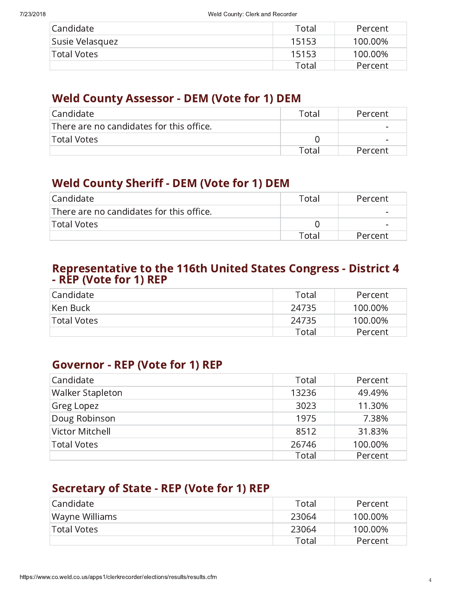| l Candidate        | Total | Percent |
|--------------------|-------|---------|
| Susie Velasquez    | 15153 | 100.00% |
| <b>Total Votes</b> | 15153 | 100.00% |
|                    | Total | Percent |

# **Weld County Assessor - DEM (Vote for 1) DEM**

| Candidate                                | Total | Percent                  |
|------------------------------------------|-------|--------------------------|
| There are no candidates for this office. |       | $\overline{\phantom{0}}$ |
| <b>Total Votes</b>                       |       | $\sim$                   |
|                                          | Fotal | Percent                  |

# **Weld County Sheriff - DEM (Vote for 1) DEM**

| Candidate                                | Total | Percent |
|------------------------------------------|-------|---------|
| There are no candidates for this office. |       | $\sim$  |
| Total Votes                              |       | $\sim$  |
|                                          | Fotal | Percent |

# Representative to the 116th United States Congress - District 4<br>- REP (Vote for 1) REP

| Candidate_  | Total | Percent |
|-------------|-------|---------|
| Ken Buck    | 24735 | 100.00% |
| Total Votes | 24735 | 100.00% |
|             | Total | Percent |

# **Governor - REP (Vote for 1) REP**

| Candidate               | Total | Percent |
|-------------------------|-------|---------|
| <b>Walker Stapleton</b> | 13236 | 49.49%  |
| Greg Lopez              | 3023  | 11.30%  |
| Doug Robinson           | 1975  | 7.38%   |
| Victor Mitchell         | 8512  | 31.83%  |
| <b>Total Votes</b>      | 26746 | 100.00% |
|                         | Total | Percent |

# **Secretary of State - REP (Vote for 1) REP**

| l Candidate        | Total  | Percent |
|--------------------|--------|---------|
| Wayne Williams     | -23064 | 100.00% |
| <b>Total Votes</b> | 23064  | 100.00% |
|                    | Total  | Percent |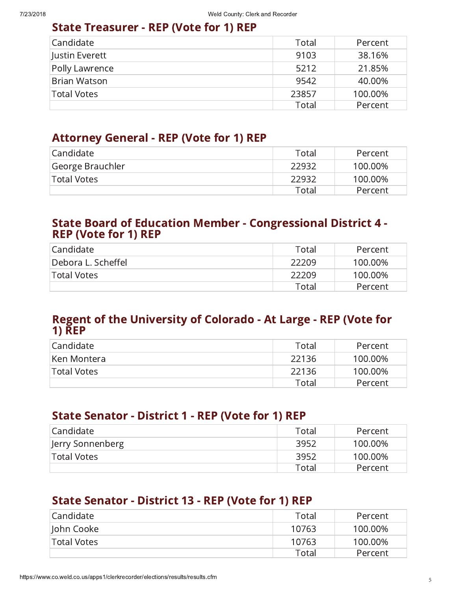# **State Treasurer - REP (Vote for 1) REP**

| Candidate           | Total | Percent |
|---------------------|-------|---------|
| Justin Everett      | 9103  | 38.16%  |
| Polly Lawrence      | 5212  | 21.85%  |
| <b>Brian Watson</b> | 9542  | 40.00%  |
| <b>Total Votes</b>  | 23857 | 100.00% |
|                     | Total | Percent |

# **Attorney General - REP (Vote for 1) REP**

| Candidate_       | Total | Percent |
|------------------|-------|---------|
| George Brauchler | 22932 | 100.00% |
|                  |       |         |
| Total Votes      | 22932 | 100.00% |
|                  | Total | Percent |

#### **State Board of Education Member - Congressional District 4 -REP (Vote for 1) REP**

| Candidate_         | Total | Percent |
|--------------------|-------|---------|
| Debora L. Scheffel | 22209 | 100.00% |
| Total Votes        | 22209 | 100.00% |
|                    | Total | Percent |

#### Regent of the University of Colorado - At Large - REP (Vote for  $1)$   $\overline{R}$

| Candidate   | Total | Percent |
|-------------|-------|---------|
| Ken Montera | 22136 | 100.00% |
| Total Votes | 22136 | 100.00% |
|             | Total | Percent |

# **State Senator - District 1 - REP (Vote for 1) REP**

| Candidate_       | Total | Percent |
|------------------|-------|---------|
| Jerry Sonnenberg | 3952  | 100.00% |
| Total Votes      | 3952  | 100.00% |
|                  | Total | Percent |

# **State Senator - District 13 - REP (Vote for 1) REP**

| l Candidate  | Total | Percent |
|--------------|-------|---------|
| John Cooke   | 10763 | 100.00% |
| 'Total Votes | 10763 | 100.00% |
|              | Total | Percent |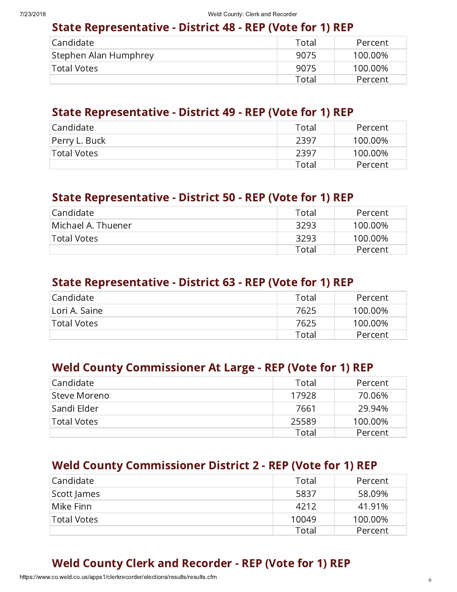# State Representative - District 48 - REP (Vote for 1) REP

| Candidate_            | Total | Percent |
|-----------------------|-------|---------|
| Stephen Alan Humphrey | 9075  | 100.00% |
| Total Votes           | 9075  | 100.00% |
|                       | Total | Percent |

#### State Representative - District 49 - REP (Vote for 1) REP

| Candidate_    | Total | Percent |
|---------------|-------|---------|
| Perry L. Buck | 2397  | 100.00% |
| Total Votes   | 2397  | 100.00% |
|               | Total | Percent |

#### State Representative - District 50 - REP (Vote for 1) REP

| Candidate_         | Total | Percent |
|--------------------|-------|---------|
| Michael A. Thuener | 3293  | 100.00% |
| Total Votes        | 3293  | 100.00% |
|                    | Total | Percent |

#### State Representative - District 63 - REP (Vote for 1) REP

| l Candidate   | Total | Percent |
|---------------|-------|---------|
| Lori A. Saine | 7625  | 100.00% |
| 'Total Votes  | 7625  | 100.00% |
|               | Total | Percent |

# Weld County Commissioner At Large - REP (Vote for 1) REP

| l Candidate        | Total | Percent |
|--------------------|-------|---------|
| Steve Moreno       | 17928 | 70.06%  |
| Sandi Elder        | 7661  | 29.94%  |
| <b>Total Votes</b> | 25589 | 100.00% |
|                    | Total | Percent |

# Weld County Commissioner District 2 - REP (Vote for 1) REP

| Candidate   | Total | Percent |
|-------------|-------|---------|
| Scott James | 5837  | 58.09%  |
| Mike Finn   | 4212  | 41.91%  |
| Total Votes | 10049 | 100.00% |
|             | Total | Percent |

# Weld County Clerk and Recorder - REP (Vote for 1) REP